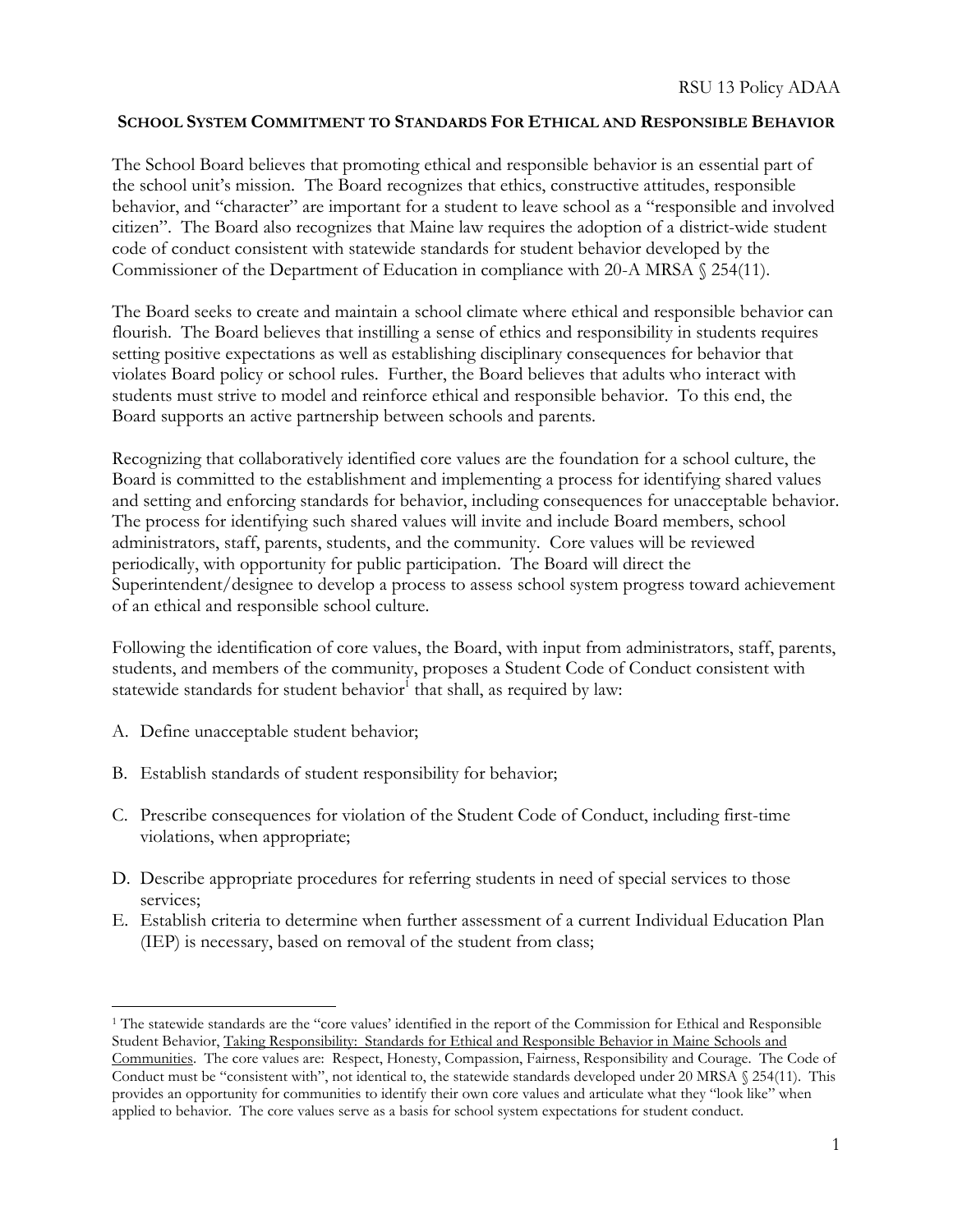## **SCHOOL SYSTEM COMMITMENT TO STANDARDS FOR ETHICAL AND RESPONSIBLE BEHAVIOR**

The School Board believes that promoting ethical and responsible behavior is an essential part of the school unit's mission. The Board recognizes that ethics, constructive attitudes, responsible behavior, and "character" are important for a student to leave school as a "responsible and involved citizen". The Board also recognizes that Maine law requires the adoption of a district-wide student code of conduct consistent with statewide standards for student behavior developed by the Commissioner of the Department of Education in compliance with 20-A MRSA § 254(11).

The Board seeks to create and maintain a school climate where ethical and responsible behavior can flourish. The Board believes that instilling a sense of ethics and responsibility in students requires setting positive expectations as well as establishing disciplinary consequences for behavior that violates Board policy or school rules. Further, the Board believes that adults who interact with students must strive to model and reinforce ethical and responsible behavior. To this end, the Board supports an active partnership between schools and parents.

Recognizing that collaboratively identified core values are the foundation for a school culture, the Board is committed to the establishment and implementing a process for identifying shared values and setting and enforcing standards for behavior, including consequences for unacceptable behavior. The process for identifying such shared values will invite and include Board members, school administrators, staff, parents, students, and the community. Core values will be reviewed periodically, with opportunity for public participation. The Board will direct the Superintendent/designee to develop a process to assess school system progress toward achievement of an ethical and responsible school culture.

Following the identification of core values, the Board, with input from administrators, staff, parents, students, and members of the community, proposes a Student Code of Conduct consistent with statewide standards for student behavior<sup>1</sup> that shall, as required by law:

A. Define unacceptable student behavior;

 $\overline{a}$ 

- B. Establish standards of student responsibility for behavior;
- C. Prescribe consequences for violation of the Student Code of Conduct, including first-time violations, when appropriate;
- D. Describe appropriate procedures for referring students in need of special services to those services;
- E. Establish criteria to determine when further assessment of a current Individual Education Plan (IEP) is necessary, based on removal of the student from class;

<sup>1</sup> The statewide standards are the "core values' identified in the report of the Commission for Ethical and Responsible Student Behavior, Taking Responsibility: Standards for Ethical and Responsible Behavior in Maine Schools and Communities. The core values are: Respect, Honesty, Compassion, Fairness, Responsibility and Courage. The Code of Conduct must be "consistent with", not identical to, the statewide standards developed under 20 MRSA § 254(11). This provides an opportunity for communities to identify their own core values and articulate what they "look like" when applied to behavior. The core values serve as a basis for school system expectations for student conduct.